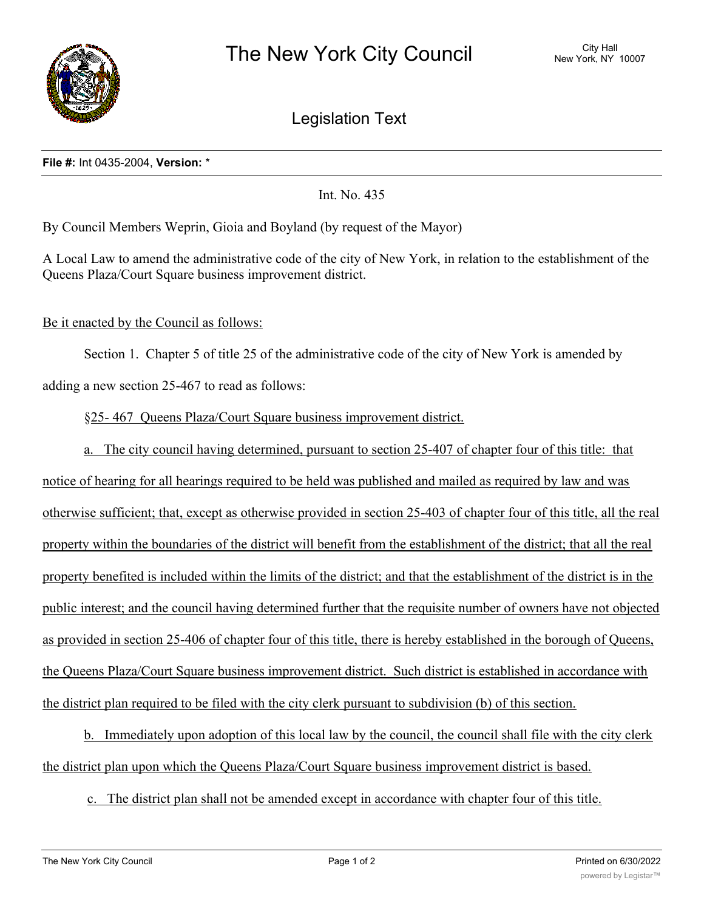

Legislation Text

## **File #:** Int 0435-2004, **Version:** \*

Int. No. 435

By Council Members Weprin, Gioia and Boyland (by request of the Mayor)

A Local Law to amend the administrative code of the city of New York, in relation to the establishment of the Queens Plaza/Court Square business improvement district.

Be it enacted by the Council as follows:

Section 1. Chapter 5 of title 25 of the administrative code of the city of New York is amended by adding a new section 25-467 to read as follows:

§25- 467 Queens Plaza/Court Square business improvement district.

a. The city council having determined, pursuant to section 25-407 of chapter four of this title: that notice of hearing for all hearings required to be held was published and mailed as required by law and was otherwise sufficient; that, except as otherwise provided in section 25-403 of chapter four of this title, all the real property within the boundaries of the district will benefit from the establishment of the district; that all the real property benefited is included within the limits of the district; and that the establishment of the district is in the public interest; and the council having determined further that the requisite number of owners have not objected as provided in section 25-406 of chapter four of this title, there is hereby established in the borough of Queens, the Queens Plaza/Court Square business improvement district. Such district is established in accordance with the district plan required to be filed with the city clerk pursuant to subdivision (b) of this section.

b. Immediately upon adoption of this local law by the council, the council shall file with the city clerk the district plan upon which the Queens Plaza/Court Square business improvement district is based.

c. The district plan shall not be amended except in accordance with chapter four of this title.